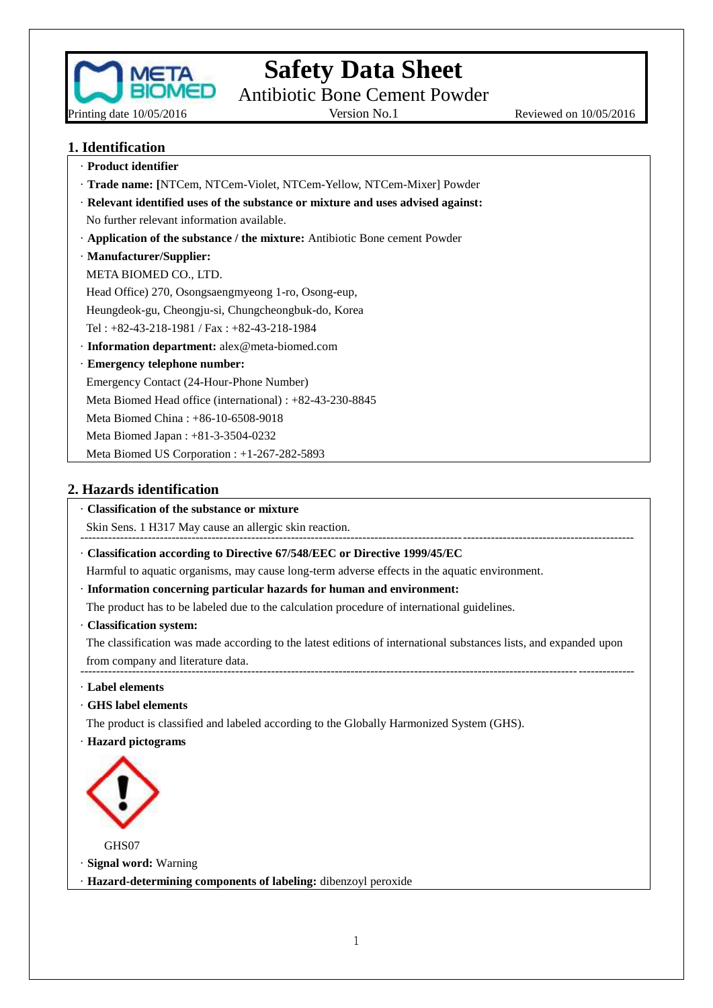

Antibiotic Bone Cement Powder

Reviewed on 10/05/2016

### **1. Identification**

| · Product identifier                                                             |
|----------------------------------------------------------------------------------|
| · Trade name: [NTCem, NTCem-Violet, NTCem-Yellow, NTCem-Mixer] Powder            |
| · Relevant identified uses of the substance or mixture and uses advised against: |
| No further relevant information available.                                       |
| Application of the substance / the mixture: Antibiotic Bone cement Powder        |
| · Manufacturer/Supplier:                                                         |
| META BIOMED CO., LTD.                                                            |
| Head Office) 270, Osongsaengmyeong 1-ro, Osong-eup,                              |
| Heungdeok-gu, Cheongju-si, Chungcheongbuk-do, Korea                              |
| Tel: $+82-43-218-1981$ / Fax: $+82-43-218-1984$                                  |
| $\cdot$ Information department: alex@meta-biomed.com                             |
| · Emergency telephone number:                                                    |
| Emergency Contact (24-Hour-Phone Number)                                         |
| Meta Biomed Head office (international) : $+82-43-230-8845$                      |
| Meta Biomed China: $+86-10-6508-9018$                                            |
| Meta Biomed Japan : +81-3-3504-0232                                              |
| Meta Biomed US Corporation : $+1-267-282-5893$                                   |
|                                                                                  |

### **2. Hazards identification**

### · **Classification of the substance or mixture**

Skin Sens. 1 H317 May cause an allergic skin reaction. -------------------------------------------------------------------------------------------------------------------------------------------

· **Classification according to Directive 67/548/EEC or Directive 1999/45/EC**

Harmful to aquatic organisms, may cause long-term adverse effects in the aquatic environment.

- · **Information concerning particular hazards for human and environment:**
- The product has to be labeled due to the calculation procedure of international guidelines.
- · **Classification system:**

The classification was made according to the latest editions of international substances lists, and expanded upon from company and literature data. -------------------------------------------------------------------------------------------------------------------------------------------

- · **Label elements**
- · **GHS label elements**

The product is classified and labeled according to the Globally Harmonized System (GHS).

· **Hazard pictograms**



GHS07

· **Signal word:** Warning

· **Hazard-determining components of labeling:** dibenzoyl peroxide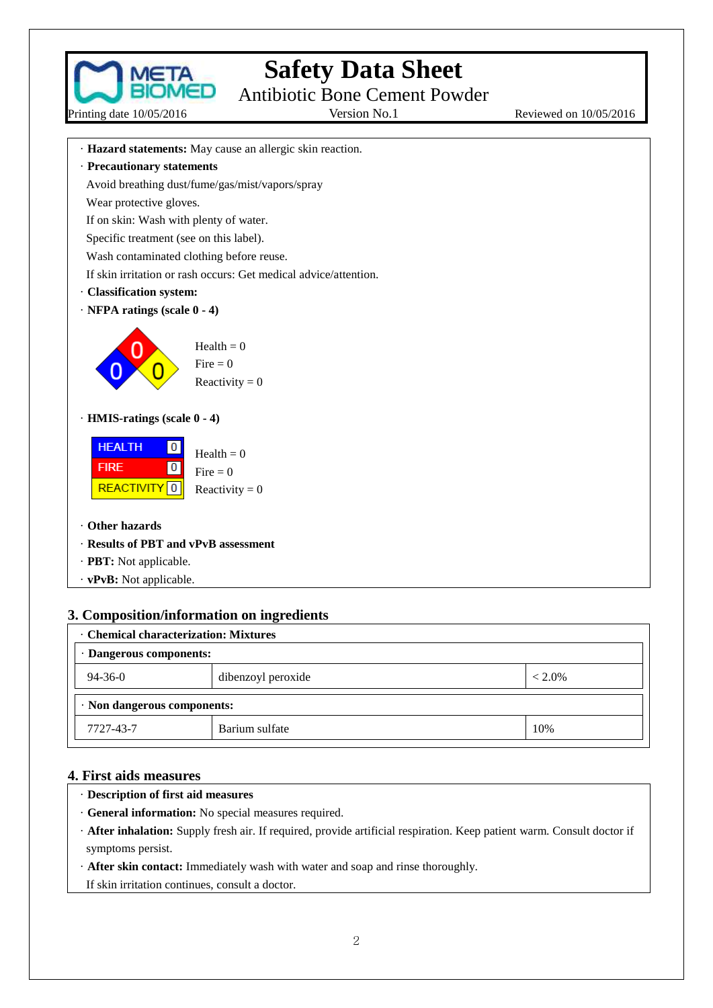

Printing date 10/05/2016

## **Safety Data Sheet**

Antibiotic Bone Cement Powder

Reviewed on 10/05/2016

- · **Hazard statements:** May cause an allergic skin reaction.
- · **Precautionary statements**

Avoid breathing dust/fume/gas/mist/vapors/spray

Wear protective gloves.

If on skin: Wash with plenty of water.

Specific treatment (see on this label).

Wash contaminated clothing before reuse.

If skin irritation or rash occurs: Get medical advice/attention.

- · **Classification system:**
- · **NFPA ratings (scale 0 - 4)**



Health  $= 0$ Fire  $= 0$ Reactivity  $= 0$ 

· **HMIS-ratings (scale 0 - 4)**



- · **Other hazards**
- · **Results of PBT and vPvB assessment**
- · **PBT:** Not applicable.
- · **vPvB:** Not applicable.

## **3. Composition/information on ingredients**

| <b>Chemical characterization: Mixtures</b>       |                |     |  |  |
|--------------------------------------------------|----------------|-----|--|--|
| · Dangerous components:                          |                |     |  |  |
| $94 - 36 - 0$<br>dibenzoyl peroxide<br>$< 2.0\%$ |                |     |  |  |
| $\cdot$ Non dangerous components:                |                |     |  |  |
| 7727-43-7                                        | Barium sulfate | 10% |  |  |

### **4. First aids measures**

- ·**Description of first aid measures**
- · **General information:** No special measures required.
- · **After inhalation:** Supply fresh air. If required, provide artificial respiration. Keep patient warm. Consult doctor if symptoms persist.
- · **After skin contact:** Immediately wash with water and soap and rinse thoroughly.
- If skin irritation continues, consult a doctor.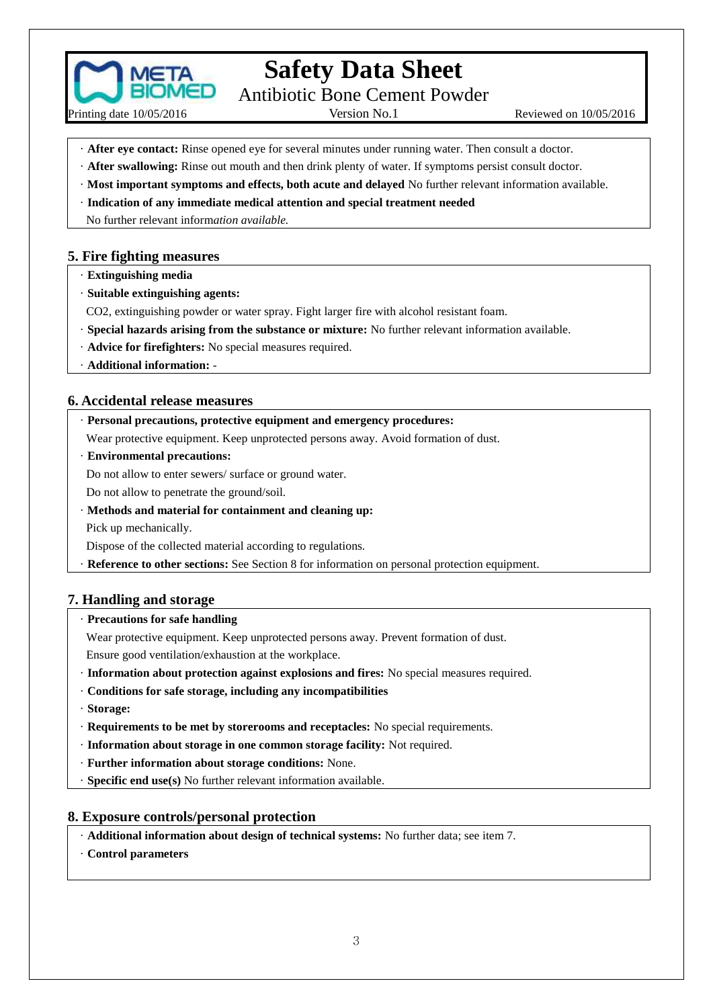

Printing date 10/05/2016

**Safety Data Sheet**

Antibiotic Bone Cement Powder

Version No.1 Reviewed on  $10/05/2016$ 

- · **After eye contact:** Rinse opened eye for several minutes under running water. Then consult a doctor.
- · **After swallowing:** Rinse out mouth and then drink plenty of water. If symptoms persist consult doctor.
- · **Most important symptoms and effects, both acute and delayed** No further relevant information available.
- · **Indication of any immediate medical attention and special treatment needed**
- No further relevant inform*ation available.*

#### **5. Fire fighting measures**

- · **Extinguishing media**
- · **Suitable extinguishing agents:**
- CO2, extinguishing powder or water spray. Fight larger fire with alcohol resistant foam.
- · **Special hazards arising from the substance or mixture:** No further relevant information available.
- · **Advice for firefighters:** No special measures required.
- · **Additional information:** -

#### **6. Accidental release measures**

- · **Personal precautions, protective equipment and emergency procedures:**
- Wear protective equipment. Keep unprotected persons away. Avoid formation of dust.
- · **Environmental precautions:**

Do not allow to enter sewers/ surface or ground water.

Do not allow to penetrate the ground/soil.

·**Methods and material for containment and cleaning up:**

Pick up mechanically.

Dispose of the collected material according to regulations.

**Reference to other sections:** See Section 8 for information on personal protection equipment.

#### **7. Handling and storage**

#### · **Precautions for safe handling**

Wear protective equipment. Keep unprotected persons away. Prevent formation of dust.

Ensure good ventilation/exhaustion at the workplace.

- · **Information about protection against explosions and fires:** No special measures required.
- · **Conditions for safe storage, including any incompatibilities**
- · **Storage:**
- · **Requirements to be met by storerooms and receptacles:** No special requirements.
- · **Information about storage in one common storage facility:** Not required.
- · **Further information about storage conditions:** None.
- · **Specific end use(s)** No further relevant information available.

#### **8. Exposure controls/personal protection**

- · **Additional information about design of technical systems:** No further data; see item 7.
- · **Control parameters**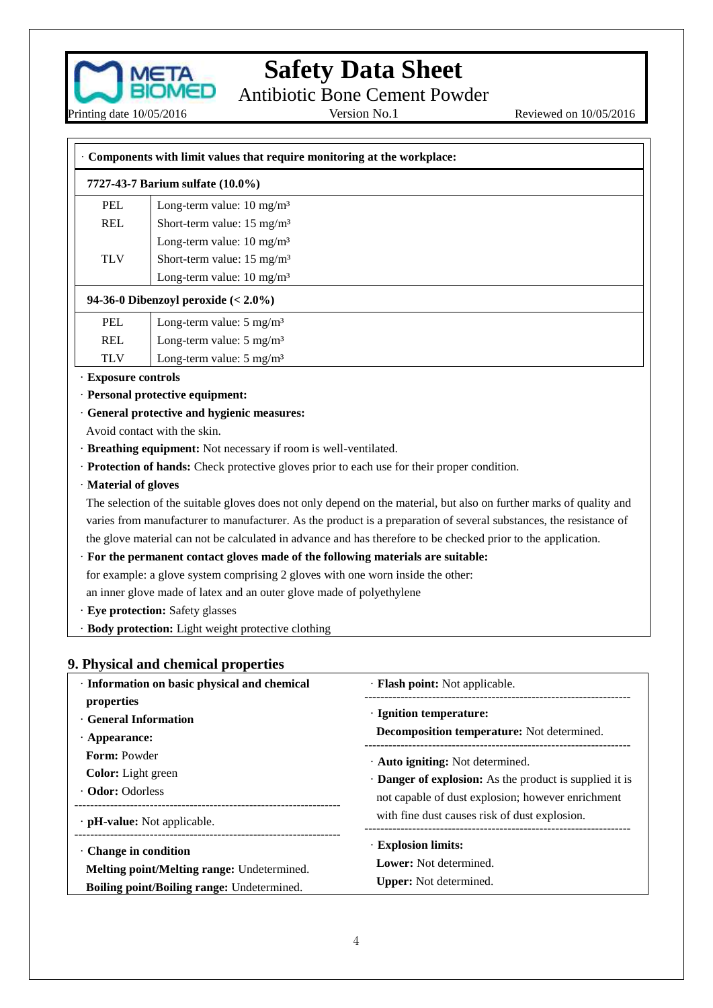

Antibiotic Bone Cement Powder<br>Version No.1

Reviewed on 10/05/2016

| Components with limit values that require monitoring at the workplace: |                                                                                            |                                                                                                                     |  |
|------------------------------------------------------------------------|--------------------------------------------------------------------------------------------|---------------------------------------------------------------------------------------------------------------------|--|
|                                                                        | 7727-43-7 Barium sulfate (10.0%)                                                           |                                                                                                                     |  |
| <b>PEL</b>                                                             | Long-term value: $10 \text{ mg/m}^3$                                                       |                                                                                                                     |  |
| <b>REL</b>                                                             | Short-term value: 15 mg/m <sup>3</sup>                                                     |                                                                                                                     |  |
|                                                                        | Long-term value: $10 \text{ mg/m}^3$                                                       |                                                                                                                     |  |
| <b>TLV</b>                                                             | Short-term value: 15 mg/m <sup>3</sup>                                                     |                                                                                                                     |  |
|                                                                        | Long-term value: 10 mg/m <sup>3</sup>                                                      |                                                                                                                     |  |
|                                                                        | 94-36-0 Dibenzoyl peroxide $(2.0\%)$                                                       |                                                                                                                     |  |
| <b>PEL</b>                                                             | Long-term value: $5 \text{ mg/m}^3$                                                        |                                                                                                                     |  |
| <b>REL</b>                                                             | Long-term value: $5 \text{ mg/m}^3$                                                        |                                                                                                                     |  |
| <b>TLV</b>                                                             | Long-term value: $5 \text{ mg/m}^3$                                                        |                                                                                                                     |  |
| · Exposure controls                                                    |                                                                                            |                                                                                                                     |  |
|                                                                        | · Personal protective equipment:                                                           |                                                                                                                     |  |
|                                                                        | · General protective and hygienic measures:                                                |                                                                                                                     |  |
|                                                                        | Avoid contact with the skin.                                                               |                                                                                                                     |  |
|                                                                        | · Breathing equipment: Not necessary if room is well-ventilated.                           |                                                                                                                     |  |
|                                                                        | Protection of hands: Check protective gloves prior to each use for their proper condition. |                                                                                                                     |  |
| · Material of gloves                                                   |                                                                                            |                                                                                                                     |  |
|                                                                        |                                                                                            | The selection of the suitable gloves does not only depend on the material, but also on further marks of quality and |  |
|                                                                        |                                                                                            | varies from manufacturer to manufacturer. As the product is a preparation of several substances, the resistance of  |  |
|                                                                        |                                                                                            | the glove material can not be calculated in advance and has therefore to be checked prior to the application.       |  |
|                                                                        | · For the permanent contact gloves made of the following materials are suitable:           |                                                                                                                     |  |
|                                                                        | for example: a glove system comprising 2 gloves with one worn inside the other:            |                                                                                                                     |  |
|                                                                        | an inner glove made of latex and an outer glove made of polyethylene                       |                                                                                                                     |  |
|                                                                        | · Eye protection: Safety glasses                                                           |                                                                                                                     |  |
|                                                                        | · Body protection: Light weight protective clothing                                        |                                                                                                                     |  |
|                                                                        |                                                                                            |                                                                                                                     |  |
|                                                                        | 9. Physical and chemical properties                                                        |                                                                                                                     |  |
|                                                                        | · Information on basic physical and chemical                                               | · Flash point: Not applicable.                                                                                      |  |
| properties                                                             |                                                                                            | · Ignition temperature:                                                                                             |  |
| · General Information                                                  |                                                                                            | Decomposition temperature: Not determined.                                                                          |  |
| $\cdot$ Appearance:                                                    |                                                                                            |                                                                                                                     |  |
| Form: Powder                                                           |                                                                                            | · Auto igniting: Not determined.                                                                                    |  |
| Color: Light green                                                     |                                                                                            | · Danger of explosion: As the product is supplied it is                                                             |  |
| · Odor: Odorless                                                       |                                                                                            | not capable of dust explosion; however enrichment                                                                   |  |
| $\cdot$ pH-value: Not applicable.                                      | ----------------------------                                                               | with fine dust causes risk of dust explosion.                                                                       |  |
| · Change in condition                                                  |                                                                                            | · Explosion limits:                                                                                                 |  |
|                                                                        | Melting point/Melting range: Undetermined.                                                 | Lower: Not determined.                                                                                              |  |
|                                                                        | Boiling point/Boiling range: Undetermined.                                                 | Upper: Not determined.                                                                                              |  |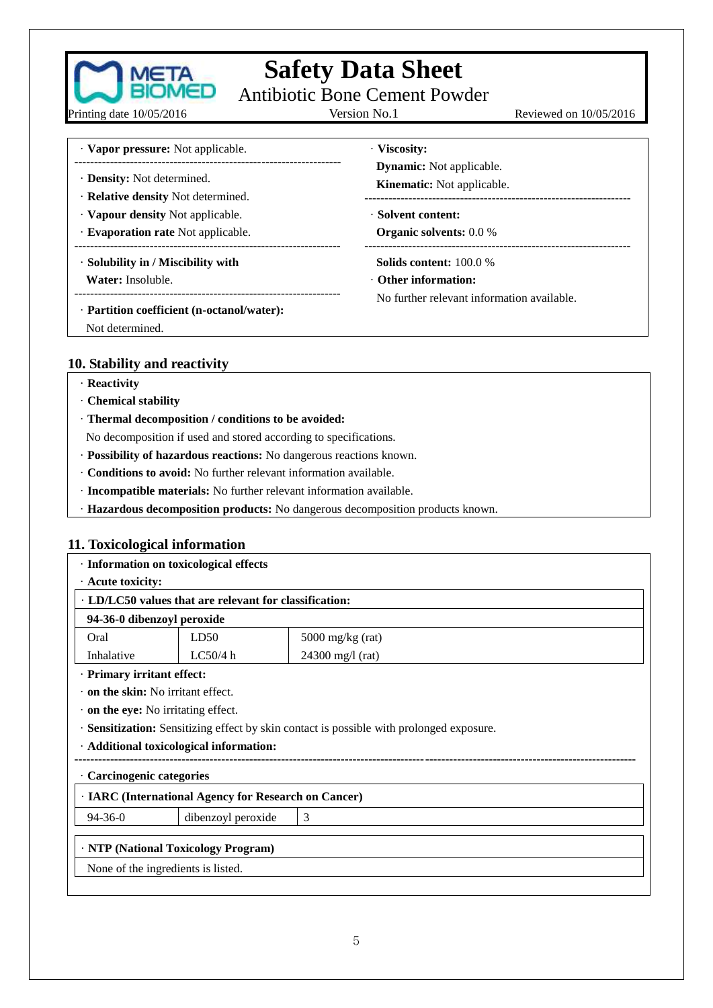

Antibiotic Bone Cement Powder<br>Version No.1

Printing date 10/05/2016

Reviewed on 10/05/2016

· **Vapor pressure:** Not applicable. ------------------------------------------------------------------- · **Density:** Not determined. · **Relative density** Not determined. · **Vapour density** Not applicable. · **Evaporation rate** Not applicable. ------------------------------------------------------------------- · **Solubility in / Miscibility with Water:** Insoluble. ------------------------------------------------------------------- · **Partition coefficient (n-octanol/water):** Not determined. · **Viscosity: Dynamic:** Not applicable. **Kinematic:** Not applicable. ------------------------------------------------------------------- · **Solvent content: Organic solvents:** 0.0 % ------------------------------------------------------------------- **Solids content:** 100.0 % · **Other information:** No further relevant information available.

### **10. Stability and reactivity**

- · **Reactivity**
- · **Chemical stability**
- · **Thermal decomposition / conditions to be avoided:**
- No decomposition if used and stored according to specifications.
- · **Possibility of hazardous reactions:** No dangerous reactions known.
- · **Conditions to avoid:** No further relevant information available.
- · **Incompatible materials:** No further relevant information available.
- · **Hazardous decomposition products:** No dangerous decomposition products known.

### **11. Toxicological information**

| · Information on toxicological effects                                                   |                                           |                    |  |  |
|------------------------------------------------------------------------------------------|-------------------------------------------|--------------------|--|--|
| $\cdot$ Acute toxicity:                                                                  |                                           |                    |  |  |
| · LD/LC50 values that are relevant for classification:                                   |                                           |                    |  |  |
| 94-36-0 dibenzoyl peroxide                                                               |                                           |                    |  |  |
| Oral                                                                                     | LD50                                      | $5000$ mg/kg (rat) |  |  |
| Inhalative                                                                               | LC50/4 h                                  | $24300$ mg/l (rat) |  |  |
|                                                                                          | · Primary irritant effect:                |                    |  |  |
| $\cdot$ on the skin: No irritant effect.                                                 |                                           |                    |  |  |
|                                                                                          | $\cdot$ on the eye: No irritating effect. |                    |  |  |
| · Sensitization: Sensitizing effect by skin contact is possible with prolonged exposure. |                                           |                    |  |  |
| · Additional toxicological information:                                                  |                                           |                    |  |  |
| <b>Carcinogenic categories</b>                                                           |                                           |                    |  |  |
| · IARC (International Agency for Research on Cancer)                                     |                                           |                    |  |  |
| $94 - 36 - 0$                                                                            | dibenzoyl peroxide                        | 3                  |  |  |
| · NTP (National Toxicology Program)                                                      |                                           |                    |  |  |
| None of the ingredients is listed.                                                       |                                           |                    |  |  |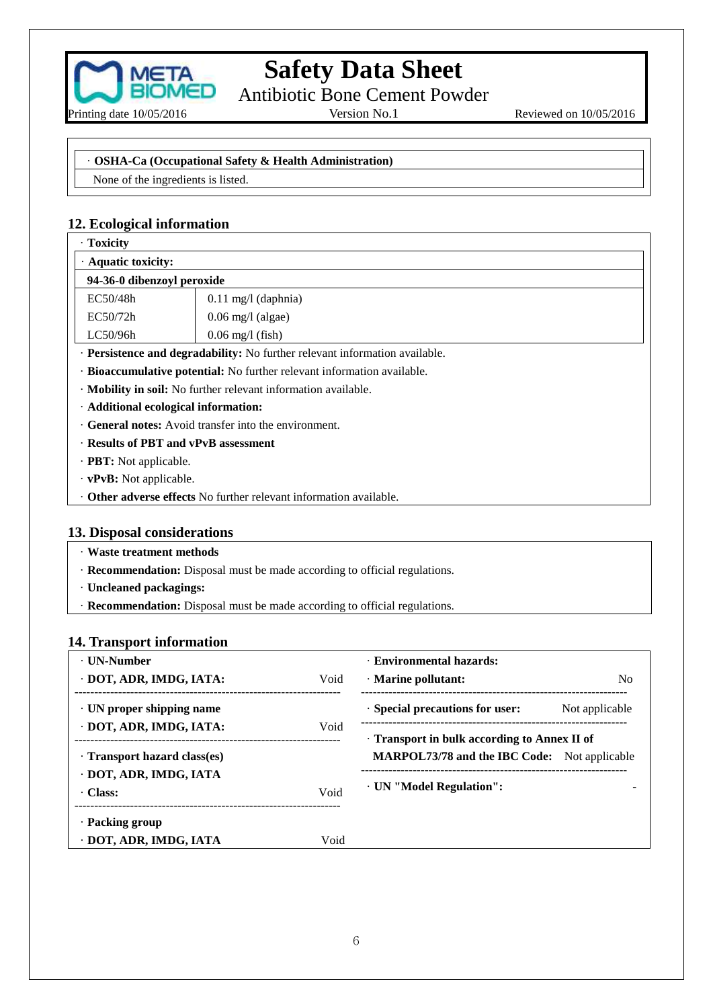

Antibiotic Bone Cement Powder

Reviewed on 10/05/2016

#### · **OSHA-Ca (Occupational Safety & Health Administration)**

None of the ingredients is listed.

## **12. Ecological information**

| · Toxicity                                                                      |                               |  |  |
|---------------------------------------------------------------------------------|-------------------------------|--|--|
| · Aquatic toxicity:                                                             |                               |  |  |
| 94-36-0 dibenzoyl peroxide                                                      |                               |  |  |
| EC50/48h                                                                        | $0.11 \text{ mg}/1$ (daphnia) |  |  |
| EC50/72h                                                                        | $0.06$ mg/l (algae)           |  |  |
| LC50/96h                                                                        | $0.06$ mg/l (fish)            |  |  |
| · Persistence and degradability: No further relevant information available.     |                               |  |  |
| · Bioaccumulative potential: No further relevant information available.         |                               |  |  |
| • <b>Mobility in soil:</b> No further relevant information available.           |                               |  |  |
| · Additional ecological information:                                            |                               |  |  |
| . General notes: Avoid transfer into the environment.                           |                               |  |  |
| · Results of PBT and vPvB assessment                                            |                               |  |  |
| $\cdot$ <b>PBT:</b> Not applicable.                                             |                               |  |  |
| $\cdot$ vPvB: Not applicable.                                                   |                               |  |  |
| $\cdot$ <b>Other adverse effects</b> No further relevant information available. |                               |  |  |

### **13. Disposal considerations**

- · **Waste treatment methods**
- · **Recommendation:** Disposal must be made according to official regulations.
- · **Uncleaned packagings:**
- · **Recommendation:** Disposal must be made according to official regulations.

### **14. Transport information**

| · UN-Number                     |      | <b>Environmental hazards:</b>                       |
|---------------------------------|------|-----------------------------------------------------|
| DOT, ADR, IMDG, IATA:           | Void | $\cdot$ Marine pollutant:<br>N <sub>0</sub>         |
| $\cdot$ UN proper shipping name |      | · Special precautions for user:<br>Not applicable   |
| DOT, ADR, IMDG, IATA:           | Void | Transport in bulk according to Annex II of          |
| Transport hazard class(es)      |      | <b>MARPOL73/78 and the IBC Code:</b> Not applicable |
| · DOT, ADR, IMDG, IATA          |      | · UN "Model Regulation":                            |
| · Class:                        | Void |                                                     |
| · Packing group                 |      |                                                     |
| · DOT, ADR, IMDG, IATA          | Void |                                                     |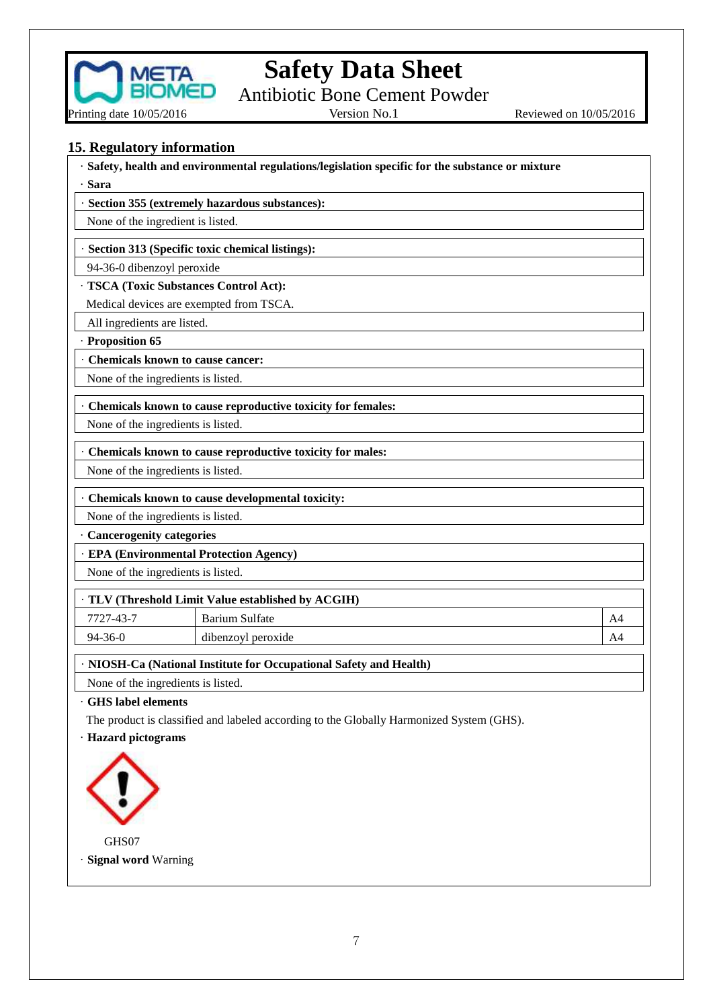

Antibiotic Bone Cement Powder

Reviewed on 10/05/2016

**15. Regulatory information**

· **Safety, health and environmental regulations/legislation specific for the substance or mixture**

· **Section 355 (extremely hazardous substances):**

None of the ingredient is listed.

· **Section 313 (Specific toxic chemical listings):**

94-36-0 dibenzoyl peroxide

· **TSCA (Toxic Substances Control Act):**

Medical devices are exempted from TSCA.

All ingredients are listed.

· **Proposition 65**

·**Sara**

· **Chemicals known to cause cancer:**

None of the ingredients is listed.

· **Chemicals known to cause reproductive toxicity for females:**

None of the ingredients is listed.

· **Chemicals known to cause reproductive toxicity for males:**

None of the ingredients is listed.

· **Chemicals known to cause developmental toxicity:**

None of the ingredients is listed.

· **Cancerogenity categories**

· **EPA (Environmental Protection Agency)**

None of the ingredients is listed.

### · **TLV (Threshold Limit Value established by ACGIH)**

7727-43-7 Barium Sulfate A4

94-36-0 dibenzoyl peroxide A4

· **NIOSH-Ca (National Institute for Occupational Safety and Health)**

None of the ingredients is listed.

· **GHS label elements**

The product is classified and labeled according to the Globally Harmonized System (GHS).

· **Hazard pictograms**